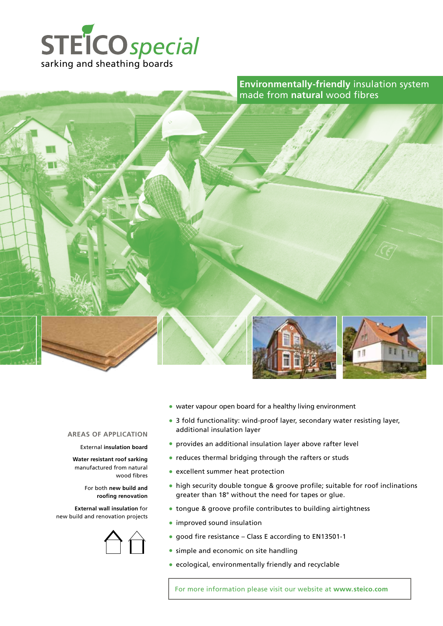



# • water vapour open board for a healthy living environment

- 3 fold functionality: wind-proof layer, secondary water resisting layer, additional insulation layer
- provides an additional insulation layer above rafter level
- reduces thermal bridging through the rafters or studs
- excellent summer heat protection
- high security double tongue & groove profile; suitable for roof inclinations greater than 18° without the need for tapes or glue.
- tongue & groove profile contributes to building airtightness
- improved sound insulation
- good fire resistance Class E according to EN13501-1
- simple and economic on site handling
- ecological, environmentally friendly and recyclable

For more information please visit our website at **www.steico.com**

**AREAS OF APPLICATION**

### External **insulation board**

**Water resistant roof sarking**  manufactured from natural wood fibres

> For both **new build and roofing renovation**

**External wall insulation** for new build and renovation projects